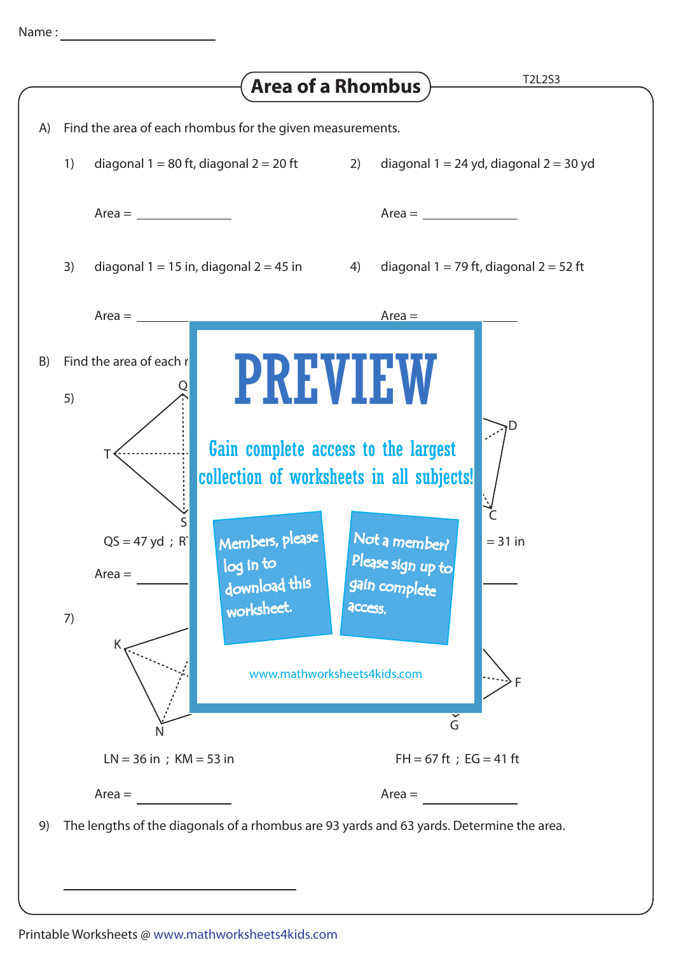